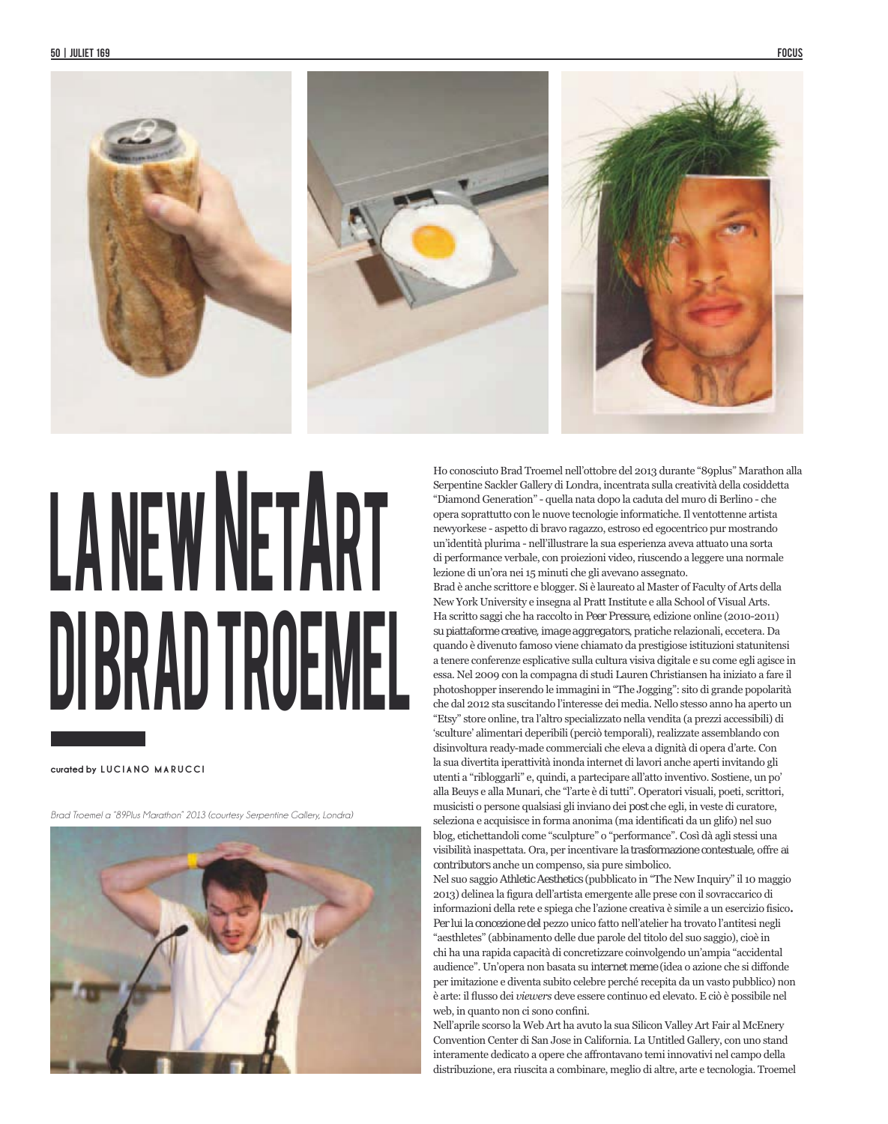

## LANEW NETART DI BRAD TROEMEL

## curated by LUCIANO MARUCCI

Brad Troemel a "89Plus Marathon" 2013 (courtesy Serpentine Callery Londra)



Ho conosciuto Brad Troemel nell'ottobre del 2013 durante "89plus" Marathon alla Serpentine Sackler Gallery di Londra, incentrata sulla creatività della cosiddetta "Diamond Generation" - quella nata dopo la caduta del muro di Berlino - che opera soprattutto con le nuove tecnologie informatiche. Il ventottenne artista newyorkese - aspetto di bravo ragazzo, estroso ed egocentrico pur mostrando un'identità plurima - nell'illustrare la sua esperienza aveva attuato una sorta di performance verbale, con proiezioni video, riuscendo a leggere una normale lezione di un'ora nei 15 minuti che gli avevano assegnato.

Brad è anche scrittore e blogger. Si è laureato al Master of Faculty of Arts della New York University e insegna al Pratt Institute e alla School of Visual Arts. Ha scritto saggi che ha raccolto in Peer Pressure, edizione online (2010-2011) su piattaforme creative, image aggregators, pratiche relazionali, eccetera. Da quando è divenuto famoso viene chiamato da prestigiose istituzioni statunitensi a tenere conferenze esplicative sulla cultura visiva digitale e su come egli agisce in essa. Nel 2009 con la compagna di studi Lauren Christiansen ha iniziato a fare il photoshopper inserendo le immagini in "The Jogging": sito di grande popolarità che dal 2012 sta suscitando l'interesse dei media. Nello stesso anno ha aperto un "Etsy" store online, tra l'altro specializzato nella vendita (a prezzi accessibili) di 'sculture' alimentari deperibili (perciò temporali), realizzate assemblando con disinvoltura ready-made commerciali che eleva a dignità di opera d'arte. Con la sua divertita iperattività inonda internet di lavori anche aperti invitando gli utenti a "ribloggarli" e, quindi, a partecipare all'atto inventivo. Sostiene, un po' alla Beuys e alla Munari, che "l'arte è di tutti". Operatori visuali, poeti, scrittori, musicisti o persone qualsiasi gli inviano dei *post* che egli, in veste di curatore. seleziona e acquisisce in forma anonima (ma identificati da un glifo) nel suo blog, etichettandoli come "sculpture" o "performance". Così dà agli stessi una visibilità inaspettata. Ora, per incentivare la trasformazione contestuale, offre ai contributors anche un compenso, sia pure simbolico.

Nel suo saggio Athletic Aesthetics (pubblicato in "The New Inquiry" il 10 maggio 2013) delinea la figura dell'artista emergente alle prese con il sovraccarico di informazioni della rete e spiega che l'azione creativa è simile a un esercizio fisico. Per lui la concezione del pezzo unico fatto nell'atelier ha trovato l'antitesi negli "aesthletes" (abbinamento delle due parole del titolo del suo saggio), cioè in chi ha una rapida capacità di concretizzare coinvolgendo un'ampia "accidental audience". Un'opera non basata su internet meme (idea o azione che si diffonde per imitazione e diventa subito celebre perché recepita da un vasto pubblico) non è arte: il flusso dei viewers deve essere continuo ed elevato. E ciò è possibile nel web, in quanto non ci sono confini.

Nell'aprile scorso la Web Art ha avuto la sua Silicon Valley Art Fair al McEnery Convention Center di San Jose in California. La Untitled Gallery, con uno stand interamente dedicato a opere che affrontavano temi innovativi nel campo della distribuzione, era riuscita a combinare, meglio di altre, arte e tecnologia. Troemel